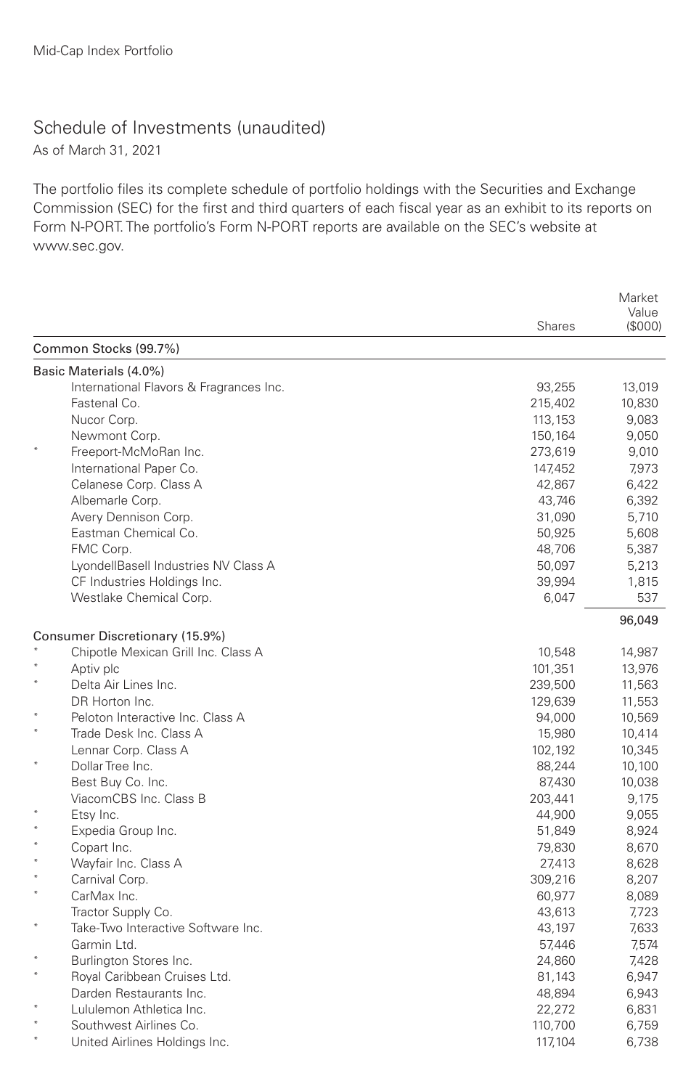## Schedule of Investments (unaudited)

As of March 31, 2021

The portfolio files its complete schedule of portfolio holdings with the Securities and Exchange Commission (SEC) for the first and third quarters of each fiscal year as an exhibit to its reports on Form N-PORT. The portfolio's Form N-PORT reports are available on the SEC's website at www.sec.gov.

|        |                                         | <b>Shares</b>    | Market<br>Value<br>(S000) |
|--------|-----------------------------------------|------------------|---------------------------|
|        | Common Stocks (99.7%)                   |                  |                           |
|        | Basic Materials (4.0%)                  |                  |                           |
|        | International Flavors & Fragrances Inc. | 93,255           | 13,019                    |
|        | Fastenal Co.                            | 215,402          | 10,830                    |
|        | Nucor Corp.                             | 113,153          | 9,083                     |
|        | Newmont Corp.                           | 150,164          | 9,050                     |
|        | Freeport-McMoRan Inc.                   | 273,619          | 9,010                     |
|        | International Paper Co.                 | 147,452          | 7,973                     |
|        | Celanese Corp. Class A                  | 42,867           | 6,422                     |
|        | Albemarle Corp.                         | 43,746           | 6,392                     |
|        | Avery Dennison Corp.                    | 31,090           | 5,710                     |
|        | Eastman Chemical Co.                    | 50,925           | 5,608                     |
|        | FMC Corp.                               | 48,706           | 5,387                     |
|        | LyondellBasell Industries NV Class A    | 50,097           | 5,213                     |
|        | CF Industries Holdings Inc.             | 39,994           | 1,815                     |
|        | Westlake Chemical Corp.                 | 6,047            | 537                       |
|        |                                         |                  | 96,049                    |
|        | Consumer Discretionary (15.9%)          |                  |                           |
|        | Chipotle Mexican Grill Inc. Class A     | 10,548           | 14,987                    |
|        | Aptiv plc                               | 101,351          | 13,976                    |
|        | Delta Air Lines Inc.<br>DR Horton Inc.  | 239,500          | 11,563                    |
|        | Peloton Interactive Inc. Class A        | 129,639          | 11,553                    |
|        | Trade Desk Inc. Class A                 | 94,000<br>15,980 | 10,569<br>10,414          |
|        | Lennar Corp. Class A                    | 102,192          |                           |
|        | Dollar Tree Inc.                        | 88,244           | 10,345<br>10,100          |
|        | Best Buy Co. Inc.                       | 87,430           | 10,038                    |
|        | ViacomCBS Inc. Class B                  | 203,441          | 9.175                     |
|        | Etsy Inc.                               | 44,900           | 9,055                     |
|        | Expedia Group Inc.                      | 51,849           | 8,924                     |
|        | Copart Inc.                             | 79,830           | 8,670                     |
|        | Wayfair Inc. Class A                    | 27,413           | 8,628                     |
|        | Carnival Corp.                          | 309,216          | 8,207                     |
| $\ast$ | CarMax Inc.                             | 60,977           | 8,089                     |
|        | Tractor Supply Co.                      | 43,613           | 7,723                     |
|        | Take-Two Interactive Software Inc.      | 43,197           | 7,633                     |
|        | Garmin Ltd.                             | 57,446           | 7,574                     |
|        | Burlington Stores Inc.                  | 24,860           | 7,428                     |
|        | Royal Caribbean Cruises Ltd.            | 81,143           | 6,947                     |
|        | Darden Restaurants Inc.                 | 48,894           | 6,943                     |
|        | Lululemon Athletica Inc.                | 22,272           | 6,831                     |
|        | Southwest Airlines Co.                  | 110,700          | 6,759                     |
|        | United Airlines Holdings Inc.           | 117,104          | 6,738                     |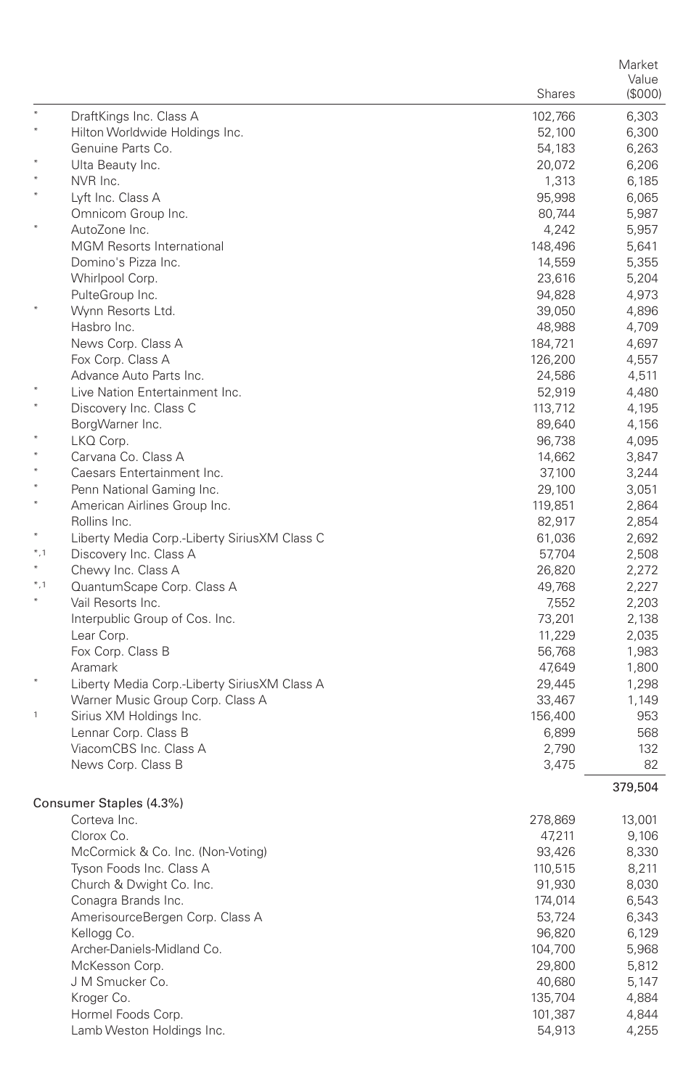|              |                                              |                  | Market         |
|--------------|----------------------------------------------|------------------|----------------|
|              |                                              |                  | Value          |
|              |                                              | Shares           | (\$000)        |
|              | DraftKings Inc. Class A                      | 102,766          | 6,303          |
| $\star$      | Hilton Worldwide Holdings Inc.               | 52,100           | 6,300          |
|              | Genuine Parts Co.                            | 54,183           | 6,263          |
|              | Ulta Beauty Inc.                             | 20,072           | 6,206          |
|              | NVR Inc.                                     | 1,313            | 6,185          |
|              | Lyft Inc. Class A                            | 95,998           | 6,065          |
|              | Omnicom Group Inc.                           | 80,744           | 5,987          |
|              | AutoZone Inc.                                | 4,242            | 5,957          |
|              | <b>MGM Resorts International</b>             | 148,496          | 5,641          |
|              | Domino's Pizza Inc.                          | 14,559           | 5,355          |
|              | Whirlpool Corp.                              | 23,616           | 5,204          |
|              | PulteGroup Inc.<br>Wynn Resorts Ltd.         | 94,828           | 4,973<br>4,896 |
|              | Hasbro Inc.                                  | 39,050<br>48,988 | 4,709          |
|              | News Corp. Class A                           | 184,721          | 4,697          |
|              | Fox Corp. Class A                            | 126,200          | 4,557          |
|              | Advance Auto Parts Inc.                      | 24,586           | 4,511          |
|              | Live Nation Entertainment Inc.               | 52,919           | 4,480          |
|              | Discovery Inc. Class C                       | 113,712          | 4,195          |
|              | BorgWarner Inc.                              | 89,640           | 4,156          |
|              | LKQ Corp.                                    | 96,738           | 4,095          |
|              | Carvana Co. Class A                          | 14,662           | 3,847          |
|              | Caesars Entertainment Inc.                   | 37,100           | 3,244          |
|              | Penn National Gaming Inc.                    | 29,100           | 3,051          |
| $\star$      | American Airlines Group Inc.                 | 119,851          | 2,864          |
|              | Rollins Inc.                                 | 82,917           | 2,854          |
|              | Liberty Media Corp.-Liberty SiriusXM Class C | 61,036           | 2,692          |
| $*, 1$       | Discovery Inc. Class A                       | 57,704           | 2,508          |
| $\ast$       | Chewy Inc. Class A                           | 26,820           | 2,272          |
| $*, 1$       | QuantumScape Corp. Class A                   | 49,768           | 2,227          |
|              | Vail Resorts Inc.                            | 7,552            | 2,203          |
|              | Interpublic Group of Cos. Inc.               | 73,201           | 2,138          |
|              | Lear Corp.                                   | 11,229           | 2,035          |
|              | Fox Corp. Class B                            | 56,768           | 1,983          |
|              | Aramark                                      | 47,649           | 1,800          |
|              | Liberty Media Corp.-Liberty SiriusXM Class A | 29,445           | 1,298          |
|              | Warner Music Group Corp. Class A             | 33,467           | 1,149          |
| $\mathbf{1}$ | Sirius XM Holdings Inc.                      | 156,400          | 953            |
|              | Lennar Corp. Class B                         | 6,899            | 568            |
|              | ViacomCBS Inc. Class A                       | 2,790            | 132            |
|              | News Corp. Class B                           | 3,475            | 82             |
|              |                                              |                  | 379,504        |
|              | Consumer Staples (4.3%)                      |                  |                |
|              | Corteva Inc.                                 | 278,869          | 13,001         |
|              | Clorox Co.                                   | 47,211           | 9,106          |
|              | McCormick & Co. Inc. (Non-Voting)            | 93,426           | 8,330          |
|              | Tyson Foods Inc. Class A                     | 110,515          | 8,211          |
|              | Church & Dwight Co. Inc.                     | 91,930           | 8,030          |
|              | Conagra Brands Inc.                          | 174,014          | 6,543          |
|              | AmerisourceBergen Corp. Class A              | 53,724           | 6,343          |
|              | Kellogg Co.                                  | 96,820           | 6,129          |
|              | Archer-Daniels-Midland Co.                   | 104,700          | 5,968          |
|              | McKesson Corp.                               | 29,800           | 5,812          |
|              | J M Smucker Co.                              | 40,680           | 5,147          |
|              | Kroger Co.                                   | 135,704          | 4,884          |
|              | Hormel Foods Corp.                           | 101,387          | 4,844          |
|              | Lamb Weston Holdings Inc.                    | 54,913           | 4,255          |
|              |                                              |                  |                |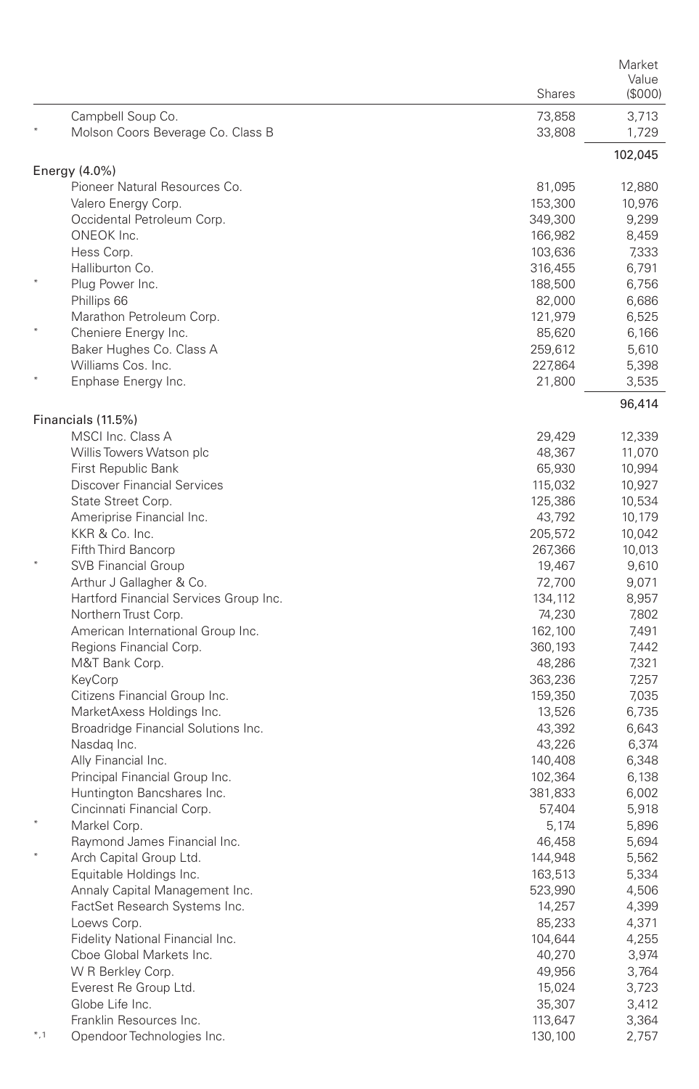| Campbell Soup Co.<br>73,858<br>3,713<br>Molson Coors Beverage Co. Class B<br>33,808<br>1,729<br>102,045<br>Energy $(4.0\%)$<br>Pioneer Natural Resources Co.<br>81,095<br>12,880<br>Valero Energy Corp.<br>153,300<br>10,976<br>Occidental Petroleum Corp.<br>349,300<br>9,299<br>ONEOK Inc.<br>166,982<br>8,459<br>Hess Corp.<br>103,636<br>7,333<br>Halliburton Co.<br>316,455<br>6,791<br>Plug Power Inc.<br>188,500<br>6.756<br>Phillips 66<br>6,686<br>82,000<br>Marathon Petroleum Corp.<br>121,979<br>6,525<br>Cheniere Energy Inc.<br>85,620<br>6,166<br>Baker Hughes Co. Class A<br>259,612<br>5,610<br>Williams Cos. Inc.<br>227,864<br>5,398<br>Enphase Energy Inc.<br>21,800<br>3,535<br>96,414<br>Financials (11.5%)<br>MSCI Inc. Class A<br>29,429<br>12,339<br>Willis Towers Watson plc<br>48,367<br>11,070<br>First Republic Bank<br>65,930<br>10,994<br><b>Discover Financial Services</b><br>115,032<br>10,927<br>State Street Corp.<br>125,386<br>10,534<br>Ameriprise Financial Inc.<br>43,792<br>10,179<br>KKR & Co. Inc.<br>205,572<br>10,042<br>Fifth Third Bancorp<br>10,013<br>267,366<br><b>SVB Financial Group</b><br>19,467<br>9,610<br>Arthur J Gallagher & Co.<br>72,700<br>9,071<br>Hartford Financial Services Group Inc.<br>134,112<br>8,957<br>Northern Trust Corp.<br>74,230<br>7,802<br>American International Group Inc.<br>162,100<br>7,491<br>Regions Financial Corp.<br>360,193<br>7,442<br>M&T Bank Corp.<br>48,286<br>7,321<br>KeyCorp<br>363,236<br>7,257<br>Citizens Financial Group Inc.<br>159,350<br>7,035<br>MarketAxess Holdings Inc.<br>13,526<br>6,735<br>Broadridge Financial Solutions Inc.<br>43,392<br>6,643<br>Nasdag Inc.<br>43,226<br>6,374<br>Ally Financial Inc.<br>140,408<br>6,348<br>Principal Financial Group Inc.<br>102,364<br>6,138<br>Huntington Bancshares Inc.<br>6,002<br>381,833<br>Cincinnati Financial Corp.<br>57,404<br>5,918<br>Markel Corp.<br>5,174<br>5,896<br>Raymond James Financial Inc.<br>46,458<br>5,694<br>Arch Capital Group Ltd.<br>144,948<br>5,562<br>Equitable Holdings Inc.<br>5,334<br>163,513<br>Annaly Capital Management Inc.<br>523,990<br>4,506<br>FactSet Research Systems Inc.<br>14,257<br>4,399<br>Loews Corp.<br>85,233<br>4,371<br>Fidelity National Financial Inc.<br>4,255<br>104,644<br>Cboe Global Markets Inc.<br>40,270<br>3,974<br>W R Berkley Corp.<br>49,956<br>3,764<br>Everest Re Group Ltd.<br>15,024<br>3,723<br>Globe Life Inc.<br>35,307<br>3,412<br>Franklin Resources Inc.<br>113,647<br>3,364<br>$^*,1$<br>Opendoor Technologies Inc.<br>130,100<br>2,757 |  | <b>Shares</b> | Market<br>Value<br>(\$000) |
|--------------------------------------------------------------------------------------------------------------------------------------------------------------------------------------------------------------------------------------------------------------------------------------------------------------------------------------------------------------------------------------------------------------------------------------------------------------------------------------------------------------------------------------------------------------------------------------------------------------------------------------------------------------------------------------------------------------------------------------------------------------------------------------------------------------------------------------------------------------------------------------------------------------------------------------------------------------------------------------------------------------------------------------------------------------------------------------------------------------------------------------------------------------------------------------------------------------------------------------------------------------------------------------------------------------------------------------------------------------------------------------------------------------------------------------------------------------------------------------------------------------------------------------------------------------------------------------------------------------------------------------------------------------------------------------------------------------------------------------------------------------------------------------------------------------------------------------------------------------------------------------------------------------------------------------------------------------------------------------------------------------------------------------------------------------------------------------------------------------------------------------------------------------------------------------------------------------------------------------------------------------------------------------------------------------------------------------------------------------------------------------------------------------------------------------------------------------------------------------------------------------------------------------------------------------------------------------|--|---------------|----------------------------|
|                                                                                                                                                                                                                                                                                                                                                                                                                                                                                                                                                                                                                                                                                                                                                                                                                                                                                                                                                                                                                                                                                                                                                                                                                                                                                                                                                                                                                                                                                                                                                                                                                                                                                                                                                                                                                                                                                                                                                                                                                                                                                                                                                                                                                                                                                                                                                                                                                                                                                                                                                                                      |  |               |                            |
|                                                                                                                                                                                                                                                                                                                                                                                                                                                                                                                                                                                                                                                                                                                                                                                                                                                                                                                                                                                                                                                                                                                                                                                                                                                                                                                                                                                                                                                                                                                                                                                                                                                                                                                                                                                                                                                                                                                                                                                                                                                                                                                                                                                                                                                                                                                                                                                                                                                                                                                                                                                      |  |               |                            |
|                                                                                                                                                                                                                                                                                                                                                                                                                                                                                                                                                                                                                                                                                                                                                                                                                                                                                                                                                                                                                                                                                                                                                                                                                                                                                                                                                                                                                                                                                                                                                                                                                                                                                                                                                                                                                                                                                                                                                                                                                                                                                                                                                                                                                                                                                                                                                                                                                                                                                                                                                                                      |  |               |                            |
|                                                                                                                                                                                                                                                                                                                                                                                                                                                                                                                                                                                                                                                                                                                                                                                                                                                                                                                                                                                                                                                                                                                                                                                                                                                                                                                                                                                                                                                                                                                                                                                                                                                                                                                                                                                                                                                                                                                                                                                                                                                                                                                                                                                                                                                                                                                                                                                                                                                                                                                                                                                      |  |               |                            |
|                                                                                                                                                                                                                                                                                                                                                                                                                                                                                                                                                                                                                                                                                                                                                                                                                                                                                                                                                                                                                                                                                                                                                                                                                                                                                                                                                                                                                                                                                                                                                                                                                                                                                                                                                                                                                                                                                                                                                                                                                                                                                                                                                                                                                                                                                                                                                                                                                                                                                                                                                                                      |  |               |                            |
|                                                                                                                                                                                                                                                                                                                                                                                                                                                                                                                                                                                                                                                                                                                                                                                                                                                                                                                                                                                                                                                                                                                                                                                                                                                                                                                                                                                                                                                                                                                                                                                                                                                                                                                                                                                                                                                                                                                                                                                                                                                                                                                                                                                                                                                                                                                                                                                                                                                                                                                                                                                      |  |               |                            |
|                                                                                                                                                                                                                                                                                                                                                                                                                                                                                                                                                                                                                                                                                                                                                                                                                                                                                                                                                                                                                                                                                                                                                                                                                                                                                                                                                                                                                                                                                                                                                                                                                                                                                                                                                                                                                                                                                                                                                                                                                                                                                                                                                                                                                                                                                                                                                                                                                                                                                                                                                                                      |  |               |                            |
|                                                                                                                                                                                                                                                                                                                                                                                                                                                                                                                                                                                                                                                                                                                                                                                                                                                                                                                                                                                                                                                                                                                                                                                                                                                                                                                                                                                                                                                                                                                                                                                                                                                                                                                                                                                                                                                                                                                                                                                                                                                                                                                                                                                                                                                                                                                                                                                                                                                                                                                                                                                      |  |               |                            |
|                                                                                                                                                                                                                                                                                                                                                                                                                                                                                                                                                                                                                                                                                                                                                                                                                                                                                                                                                                                                                                                                                                                                                                                                                                                                                                                                                                                                                                                                                                                                                                                                                                                                                                                                                                                                                                                                                                                                                                                                                                                                                                                                                                                                                                                                                                                                                                                                                                                                                                                                                                                      |  |               |                            |
|                                                                                                                                                                                                                                                                                                                                                                                                                                                                                                                                                                                                                                                                                                                                                                                                                                                                                                                                                                                                                                                                                                                                                                                                                                                                                                                                                                                                                                                                                                                                                                                                                                                                                                                                                                                                                                                                                                                                                                                                                                                                                                                                                                                                                                                                                                                                                                                                                                                                                                                                                                                      |  |               |                            |
|                                                                                                                                                                                                                                                                                                                                                                                                                                                                                                                                                                                                                                                                                                                                                                                                                                                                                                                                                                                                                                                                                                                                                                                                                                                                                                                                                                                                                                                                                                                                                                                                                                                                                                                                                                                                                                                                                                                                                                                                                                                                                                                                                                                                                                                                                                                                                                                                                                                                                                                                                                                      |  |               |                            |
|                                                                                                                                                                                                                                                                                                                                                                                                                                                                                                                                                                                                                                                                                                                                                                                                                                                                                                                                                                                                                                                                                                                                                                                                                                                                                                                                                                                                                                                                                                                                                                                                                                                                                                                                                                                                                                                                                                                                                                                                                                                                                                                                                                                                                                                                                                                                                                                                                                                                                                                                                                                      |  |               |                            |
|                                                                                                                                                                                                                                                                                                                                                                                                                                                                                                                                                                                                                                                                                                                                                                                                                                                                                                                                                                                                                                                                                                                                                                                                                                                                                                                                                                                                                                                                                                                                                                                                                                                                                                                                                                                                                                                                                                                                                                                                                                                                                                                                                                                                                                                                                                                                                                                                                                                                                                                                                                                      |  |               |                            |
|                                                                                                                                                                                                                                                                                                                                                                                                                                                                                                                                                                                                                                                                                                                                                                                                                                                                                                                                                                                                                                                                                                                                                                                                                                                                                                                                                                                                                                                                                                                                                                                                                                                                                                                                                                                                                                                                                                                                                                                                                                                                                                                                                                                                                                                                                                                                                                                                                                                                                                                                                                                      |  |               |                            |
|                                                                                                                                                                                                                                                                                                                                                                                                                                                                                                                                                                                                                                                                                                                                                                                                                                                                                                                                                                                                                                                                                                                                                                                                                                                                                                                                                                                                                                                                                                                                                                                                                                                                                                                                                                                                                                                                                                                                                                                                                                                                                                                                                                                                                                                                                                                                                                                                                                                                                                                                                                                      |  |               |                            |
|                                                                                                                                                                                                                                                                                                                                                                                                                                                                                                                                                                                                                                                                                                                                                                                                                                                                                                                                                                                                                                                                                                                                                                                                                                                                                                                                                                                                                                                                                                                                                                                                                                                                                                                                                                                                                                                                                                                                                                                                                                                                                                                                                                                                                                                                                                                                                                                                                                                                                                                                                                                      |  |               |                            |
|                                                                                                                                                                                                                                                                                                                                                                                                                                                                                                                                                                                                                                                                                                                                                                                                                                                                                                                                                                                                                                                                                                                                                                                                                                                                                                                                                                                                                                                                                                                                                                                                                                                                                                                                                                                                                                                                                                                                                                                                                                                                                                                                                                                                                                                                                                                                                                                                                                                                                                                                                                                      |  |               |                            |
|                                                                                                                                                                                                                                                                                                                                                                                                                                                                                                                                                                                                                                                                                                                                                                                                                                                                                                                                                                                                                                                                                                                                                                                                                                                                                                                                                                                                                                                                                                                                                                                                                                                                                                                                                                                                                                                                                                                                                                                                                                                                                                                                                                                                                                                                                                                                                                                                                                                                                                                                                                                      |  |               |                            |
|                                                                                                                                                                                                                                                                                                                                                                                                                                                                                                                                                                                                                                                                                                                                                                                                                                                                                                                                                                                                                                                                                                                                                                                                                                                                                                                                                                                                                                                                                                                                                                                                                                                                                                                                                                                                                                                                                                                                                                                                                                                                                                                                                                                                                                                                                                                                                                                                                                                                                                                                                                                      |  |               |                            |
|                                                                                                                                                                                                                                                                                                                                                                                                                                                                                                                                                                                                                                                                                                                                                                                                                                                                                                                                                                                                                                                                                                                                                                                                                                                                                                                                                                                                                                                                                                                                                                                                                                                                                                                                                                                                                                                                                                                                                                                                                                                                                                                                                                                                                                                                                                                                                                                                                                                                                                                                                                                      |  |               |                            |
|                                                                                                                                                                                                                                                                                                                                                                                                                                                                                                                                                                                                                                                                                                                                                                                                                                                                                                                                                                                                                                                                                                                                                                                                                                                                                                                                                                                                                                                                                                                                                                                                                                                                                                                                                                                                                                                                                                                                                                                                                                                                                                                                                                                                                                                                                                                                                                                                                                                                                                                                                                                      |  |               |                            |
|                                                                                                                                                                                                                                                                                                                                                                                                                                                                                                                                                                                                                                                                                                                                                                                                                                                                                                                                                                                                                                                                                                                                                                                                                                                                                                                                                                                                                                                                                                                                                                                                                                                                                                                                                                                                                                                                                                                                                                                                                                                                                                                                                                                                                                                                                                                                                                                                                                                                                                                                                                                      |  |               |                            |
|                                                                                                                                                                                                                                                                                                                                                                                                                                                                                                                                                                                                                                                                                                                                                                                                                                                                                                                                                                                                                                                                                                                                                                                                                                                                                                                                                                                                                                                                                                                                                                                                                                                                                                                                                                                                                                                                                                                                                                                                                                                                                                                                                                                                                                                                                                                                                                                                                                                                                                                                                                                      |  |               |                            |
|                                                                                                                                                                                                                                                                                                                                                                                                                                                                                                                                                                                                                                                                                                                                                                                                                                                                                                                                                                                                                                                                                                                                                                                                                                                                                                                                                                                                                                                                                                                                                                                                                                                                                                                                                                                                                                                                                                                                                                                                                                                                                                                                                                                                                                                                                                                                                                                                                                                                                                                                                                                      |  |               |                            |
|                                                                                                                                                                                                                                                                                                                                                                                                                                                                                                                                                                                                                                                                                                                                                                                                                                                                                                                                                                                                                                                                                                                                                                                                                                                                                                                                                                                                                                                                                                                                                                                                                                                                                                                                                                                                                                                                                                                                                                                                                                                                                                                                                                                                                                                                                                                                                                                                                                                                                                                                                                                      |  |               |                            |
|                                                                                                                                                                                                                                                                                                                                                                                                                                                                                                                                                                                                                                                                                                                                                                                                                                                                                                                                                                                                                                                                                                                                                                                                                                                                                                                                                                                                                                                                                                                                                                                                                                                                                                                                                                                                                                                                                                                                                                                                                                                                                                                                                                                                                                                                                                                                                                                                                                                                                                                                                                                      |  |               |                            |
|                                                                                                                                                                                                                                                                                                                                                                                                                                                                                                                                                                                                                                                                                                                                                                                                                                                                                                                                                                                                                                                                                                                                                                                                                                                                                                                                                                                                                                                                                                                                                                                                                                                                                                                                                                                                                                                                                                                                                                                                                                                                                                                                                                                                                                                                                                                                                                                                                                                                                                                                                                                      |  |               |                            |
|                                                                                                                                                                                                                                                                                                                                                                                                                                                                                                                                                                                                                                                                                                                                                                                                                                                                                                                                                                                                                                                                                                                                                                                                                                                                                                                                                                                                                                                                                                                                                                                                                                                                                                                                                                                                                                                                                                                                                                                                                                                                                                                                                                                                                                                                                                                                                                                                                                                                                                                                                                                      |  |               |                            |
|                                                                                                                                                                                                                                                                                                                                                                                                                                                                                                                                                                                                                                                                                                                                                                                                                                                                                                                                                                                                                                                                                                                                                                                                                                                                                                                                                                                                                                                                                                                                                                                                                                                                                                                                                                                                                                                                                                                                                                                                                                                                                                                                                                                                                                                                                                                                                                                                                                                                                                                                                                                      |  |               |                            |
|                                                                                                                                                                                                                                                                                                                                                                                                                                                                                                                                                                                                                                                                                                                                                                                                                                                                                                                                                                                                                                                                                                                                                                                                                                                                                                                                                                                                                                                                                                                                                                                                                                                                                                                                                                                                                                                                                                                                                                                                                                                                                                                                                                                                                                                                                                                                                                                                                                                                                                                                                                                      |  |               |                            |
|                                                                                                                                                                                                                                                                                                                                                                                                                                                                                                                                                                                                                                                                                                                                                                                                                                                                                                                                                                                                                                                                                                                                                                                                                                                                                                                                                                                                                                                                                                                                                                                                                                                                                                                                                                                                                                                                                                                                                                                                                                                                                                                                                                                                                                                                                                                                                                                                                                                                                                                                                                                      |  |               |                            |
|                                                                                                                                                                                                                                                                                                                                                                                                                                                                                                                                                                                                                                                                                                                                                                                                                                                                                                                                                                                                                                                                                                                                                                                                                                                                                                                                                                                                                                                                                                                                                                                                                                                                                                                                                                                                                                                                                                                                                                                                                                                                                                                                                                                                                                                                                                                                                                                                                                                                                                                                                                                      |  |               |                            |
|                                                                                                                                                                                                                                                                                                                                                                                                                                                                                                                                                                                                                                                                                                                                                                                                                                                                                                                                                                                                                                                                                                                                                                                                                                                                                                                                                                                                                                                                                                                                                                                                                                                                                                                                                                                                                                                                                                                                                                                                                                                                                                                                                                                                                                                                                                                                                                                                                                                                                                                                                                                      |  |               |                            |
|                                                                                                                                                                                                                                                                                                                                                                                                                                                                                                                                                                                                                                                                                                                                                                                                                                                                                                                                                                                                                                                                                                                                                                                                                                                                                                                                                                                                                                                                                                                                                                                                                                                                                                                                                                                                                                                                                                                                                                                                                                                                                                                                                                                                                                                                                                                                                                                                                                                                                                                                                                                      |  |               |                            |
|                                                                                                                                                                                                                                                                                                                                                                                                                                                                                                                                                                                                                                                                                                                                                                                                                                                                                                                                                                                                                                                                                                                                                                                                                                                                                                                                                                                                                                                                                                                                                                                                                                                                                                                                                                                                                                                                                                                                                                                                                                                                                                                                                                                                                                                                                                                                                                                                                                                                                                                                                                                      |  |               |                            |
|                                                                                                                                                                                                                                                                                                                                                                                                                                                                                                                                                                                                                                                                                                                                                                                                                                                                                                                                                                                                                                                                                                                                                                                                                                                                                                                                                                                                                                                                                                                                                                                                                                                                                                                                                                                                                                                                                                                                                                                                                                                                                                                                                                                                                                                                                                                                                                                                                                                                                                                                                                                      |  |               |                            |
|                                                                                                                                                                                                                                                                                                                                                                                                                                                                                                                                                                                                                                                                                                                                                                                                                                                                                                                                                                                                                                                                                                                                                                                                                                                                                                                                                                                                                                                                                                                                                                                                                                                                                                                                                                                                                                                                                                                                                                                                                                                                                                                                                                                                                                                                                                                                                                                                                                                                                                                                                                                      |  |               |                            |
|                                                                                                                                                                                                                                                                                                                                                                                                                                                                                                                                                                                                                                                                                                                                                                                                                                                                                                                                                                                                                                                                                                                                                                                                                                                                                                                                                                                                                                                                                                                                                                                                                                                                                                                                                                                                                                                                                                                                                                                                                                                                                                                                                                                                                                                                                                                                                                                                                                                                                                                                                                                      |  |               |                            |
|                                                                                                                                                                                                                                                                                                                                                                                                                                                                                                                                                                                                                                                                                                                                                                                                                                                                                                                                                                                                                                                                                                                                                                                                                                                                                                                                                                                                                                                                                                                                                                                                                                                                                                                                                                                                                                                                                                                                                                                                                                                                                                                                                                                                                                                                                                                                                                                                                                                                                                                                                                                      |  |               |                            |
|                                                                                                                                                                                                                                                                                                                                                                                                                                                                                                                                                                                                                                                                                                                                                                                                                                                                                                                                                                                                                                                                                                                                                                                                                                                                                                                                                                                                                                                                                                                                                                                                                                                                                                                                                                                                                                                                                                                                                                                                                                                                                                                                                                                                                                                                                                                                                                                                                                                                                                                                                                                      |  |               |                            |
|                                                                                                                                                                                                                                                                                                                                                                                                                                                                                                                                                                                                                                                                                                                                                                                                                                                                                                                                                                                                                                                                                                                                                                                                                                                                                                                                                                                                                                                                                                                                                                                                                                                                                                                                                                                                                                                                                                                                                                                                                                                                                                                                                                                                                                                                                                                                                                                                                                                                                                                                                                                      |  |               |                            |
|                                                                                                                                                                                                                                                                                                                                                                                                                                                                                                                                                                                                                                                                                                                                                                                                                                                                                                                                                                                                                                                                                                                                                                                                                                                                                                                                                                                                                                                                                                                                                                                                                                                                                                                                                                                                                                                                                                                                                                                                                                                                                                                                                                                                                                                                                                                                                                                                                                                                                                                                                                                      |  |               |                            |
|                                                                                                                                                                                                                                                                                                                                                                                                                                                                                                                                                                                                                                                                                                                                                                                                                                                                                                                                                                                                                                                                                                                                                                                                                                                                                                                                                                                                                                                                                                                                                                                                                                                                                                                                                                                                                                                                                                                                                                                                                                                                                                                                                                                                                                                                                                                                                                                                                                                                                                                                                                                      |  |               |                            |
|                                                                                                                                                                                                                                                                                                                                                                                                                                                                                                                                                                                                                                                                                                                                                                                                                                                                                                                                                                                                                                                                                                                                                                                                                                                                                                                                                                                                                                                                                                                                                                                                                                                                                                                                                                                                                                                                                                                                                                                                                                                                                                                                                                                                                                                                                                                                                                                                                                                                                                                                                                                      |  |               |                            |
|                                                                                                                                                                                                                                                                                                                                                                                                                                                                                                                                                                                                                                                                                                                                                                                                                                                                                                                                                                                                                                                                                                                                                                                                                                                                                                                                                                                                                                                                                                                                                                                                                                                                                                                                                                                                                                                                                                                                                                                                                                                                                                                                                                                                                                                                                                                                                                                                                                                                                                                                                                                      |  |               |                            |
|                                                                                                                                                                                                                                                                                                                                                                                                                                                                                                                                                                                                                                                                                                                                                                                                                                                                                                                                                                                                                                                                                                                                                                                                                                                                                                                                                                                                                                                                                                                                                                                                                                                                                                                                                                                                                                                                                                                                                                                                                                                                                                                                                                                                                                                                                                                                                                                                                                                                                                                                                                                      |  |               |                            |
|                                                                                                                                                                                                                                                                                                                                                                                                                                                                                                                                                                                                                                                                                                                                                                                                                                                                                                                                                                                                                                                                                                                                                                                                                                                                                                                                                                                                                                                                                                                                                                                                                                                                                                                                                                                                                                                                                                                                                                                                                                                                                                                                                                                                                                                                                                                                                                                                                                                                                                                                                                                      |  |               |                            |
|                                                                                                                                                                                                                                                                                                                                                                                                                                                                                                                                                                                                                                                                                                                                                                                                                                                                                                                                                                                                                                                                                                                                                                                                                                                                                                                                                                                                                                                                                                                                                                                                                                                                                                                                                                                                                                                                                                                                                                                                                                                                                                                                                                                                                                                                                                                                                                                                                                                                                                                                                                                      |  |               |                            |
|                                                                                                                                                                                                                                                                                                                                                                                                                                                                                                                                                                                                                                                                                                                                                                                                                                                                                                                                                                                                                                                                                                                                                                                                                                                                                                                                                                                                                                                                                                                                                                                                                                                                                                                                                                                                                                                                                                                                                                                                                                                                                                                                                                                                                                                                                                                                                                                                                                                                                                                                                                                      |  |               |                            |
|                                                                                                                                                                                                                                                                                                                                                                                                                                                                                                                                                                                                                                                                                                                                                                                                                                                                                                                                                                                                                                                                                                                                                                                                                                                                                                                                                                                                                                                                                                                                                                                                                                                                                                                                                                                                                                                                                                                                                                                                                                                                                                                                                                                                                                                                                                                                                                                                                                                                                                                                                                                      |  |               |                            |
|                                                                                                                                                                                                                                                                                                                                                                                                                                                                                                                                                                                                                                                                                                                                                                                                                                                                                                                                                                                                                                                                                                                                                                                                                                                                                                                                                                                                                                                                                                                                                                                                                                                                                                                                                                                                                                                                                                                                                                                                                                                                                                                                                                                                                                                                                                                                                                                                                                                                                                                                                                                      |  |               |                            |
|                                                                                                                                                                                                                                                                                                                                                                                                                                                                                                                                                                                                                                                                                                                                                                                                                                                                                                                                                                                                                                                                                                                                                                                                                                                                                                                                                                                                                                                                                                                                                                                                                                                                                                                                                                                                                                                                                                                                                                                                                                                                                                                                                                                                                                                                                                                                                                                                                                                                                                                                                                                      |  |               |                            |
|                                                                                                                                                                                                                                                                                                                                                                                                                                                                                                                                                                                                                                                                                                                                                                                                                                                                                                                                                                                                                                                                                                                                                                                                                                                                                                                                                                                                                                                                                                                                                                                                                                                                                                                                                                                                                                                                                                                                                                                                                                                                                                                                                                                                                                                                                                                                                                                                                                                                                                                                                                                      |  |               |                            |
|                                                                                                                                                                                                                                                                                                                                                                                                                                                                                                                                                                                                                                                                                                                                                                                                                                                                                                                                                                                                                                                                                                                                                                                                                                                                                                                                                                                                                                                                                                                                                                                                                                                                                                                                                                                                                                                                                                                                                                                                                                                                                                                                                                                                                                                                                                                                                                                                                                                                                                                                                                                      |  |               |                            |
|                                                                                                                                                                                                                                                                                                                                                                                                                                                                                                                                                                                                                                                                                                                                                                                                                                                                                                                                                                                                                                                                                                                                                                                                                                                                                                                                                                                                                                                                                                                                                                                                                                                                                                                                                                                                                                                                                                                                                                                                                                                                                                                                                                                                                                                                                                                                                                                                                                                                                                                                                                                      |  |               |                            |
|                                                                                                                                                                                                                                                                                                                                                                                                                                                                                                                                                                                                                                                                                                                                                                                                                                                                                                                                                                                                                                                                                                                                                                                                                                                                                                                                                                                                                                                                                                                                                                                                                                                                                                                                                                                                                                                                                                                                                                                                                                                                                                                                                                                                                                                                                                                                                                                                                                                                                                                                                                                      |  |               |                            |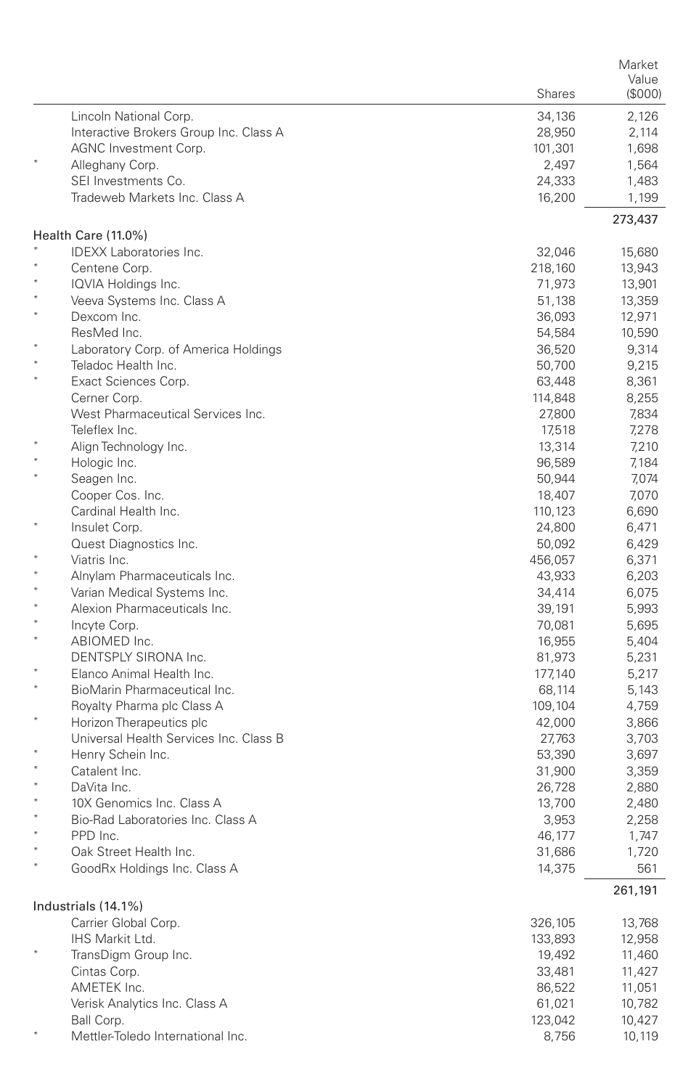|         |                                        |         | Market  |
|---------|----------------------------------------|---------|---------|
|         |                                        |         | Value   |
|         |                                        | Shares  | (\$000) |
|         | Lincoln National Corp.                 | 34,136  | 2,126   |
|         | Interactive Brokers Group Inc. Class A | 28,950  | 2,114   |
|         | AGNC Investment Corp.                  | 101,301 | 1,698   |
|         | Alleghany Corp.                        | 2,497   | 1,564   |
|         | SEI Investments Co.                    | 24,333  | 1,483   |
|         | Tradeweb Markets Inc. Class A          | 16,200  | 1,199   |
|         | Health Care (11.0%)                    |         | 273,437 |
|         | <b>IDEXX Laboratories Inc.</b>         | 32,046  | 15,680  |
|         | Centene Corp.                          | 218,160 | 13,943  |
|         | IQVIA Holdings Inc.                    | 71,973  | 13,901  |
|         | Veeva Systems Inc. Class A             | 51,138  | 13,359  |
| $\star$ | Dexcom Inc.                            | 36,093  | 12,971  |
|         | ResMed Inc.                            | 54,584  | 10,590  |
|         | Laboratory Corp. of America Holdings   | 36,520  | 9,314   |
|         | Teladoc Health Inc.                    | 50,700  | 9,215   |
| $\star$ | Exact Sciences Corp.                   | 63,448  | 8,361   |
|         | Cerner Corp.                           | 114,848 | 8,255   |
|         | West Pharmaceutical Services Inc.      | 27,800  | 7,834   |
|         | Teleflex Inc.                          | 17,518  | 7,278   |
|         | Align Technology Inc.                  | 13,314  | 7,210   |
|         | Hologic Inc.                           | 96,589  | 7,184   |
|         | Seagen Inc.                            | 50,944  | 7,074   |
|         | Cooper Cos. Inc.                       | 18,407  | 7,070   |
|         | Cardinal Health Inc.                   | 110,123 | 6,690   |
|         | Insulet Corp.                          | 24,800  | 6,471   |
|         | Quest Diagnostics Inc.                 | 50,092  | 6,429   |
| $\ast$  | Viatris Inc.                           | 456,057 | 6,371   |
|         | Alnylam Pharmaceuticals Inc.           | 43,933  | 6,203   |
| $\star$ | Varian Medical Systems Inc.            | 34,414  | 6,075   |
|         | Alexion Pharmaceuticals Inc.           | 39,191  | 5,993   |
| $\star$ | Incyte Corp.                           | 70,081  | 5,695   |
|         | ABIOMED Inc.                           | 16,955  | 5,404   |
|         | DENTSPLY SIRONA Inc.                   | 81,973  | 5,231   |
| $\star$ | Elanco Animal Health Inc.              | 177,140 | 5,217   |
|         | BioMarin Pharmaceutical Inc.           | 68,114  | 5,143   |
| ×       | Royalty Pharma plc Class A             | 109,104 | 4,759   |
|         | Horizon Therapeutics plc               | 42,000  | 3,866   |
|         | Universal Health Services Inc. Class B | 27,763  | 3,703   |
| $\ast$  | Henry Schein Inc.                      | 53,390  | 3,697   |
|         | Catalent Inc.                          | 31,900  | 3,359   |
| $\ast$  | DaVita Inc.                            | 26,728  | 2,880   |
|         | 10X Genomics Inc. Class A              | 13,700  | 2,480   |
|         | Bio-Rad Laboratories Inc. Class A      | 3,953   | 2,258   |
|         | PPD Inc.                               | 46,177  | 1,747   |
|         | Oak Street Health Inc.                 | 31,686  | 1,720   |
|         | GoodRx Holdings Inc. Class A           | 14,375  | 561     |
|         | Industrials (14.1%)                    |         | 261,191 |
|         | Carrier Global Corp.                   | 326,105 | 13,768  |
|         | IHS Markit Ltd.                        | 133,893 | 12,958  |
|         | TransDigm Group Inc.                   | 19,492  | 11,460  |
|         | Cintas Corp.                           | 33,481  | 11,427  |
|         | AMETEK Inc.                            | 86,522  | 11,051  |
|         | Verisk Analytics Inc. Class A          | 61,021  | 10,782  |
|         | Ball Corp.                             | 123,042 | 10,427  |
|         | Mettler-Toledo International Inc.      | 8,756   | 10,119  |
|         |                                        |         |         |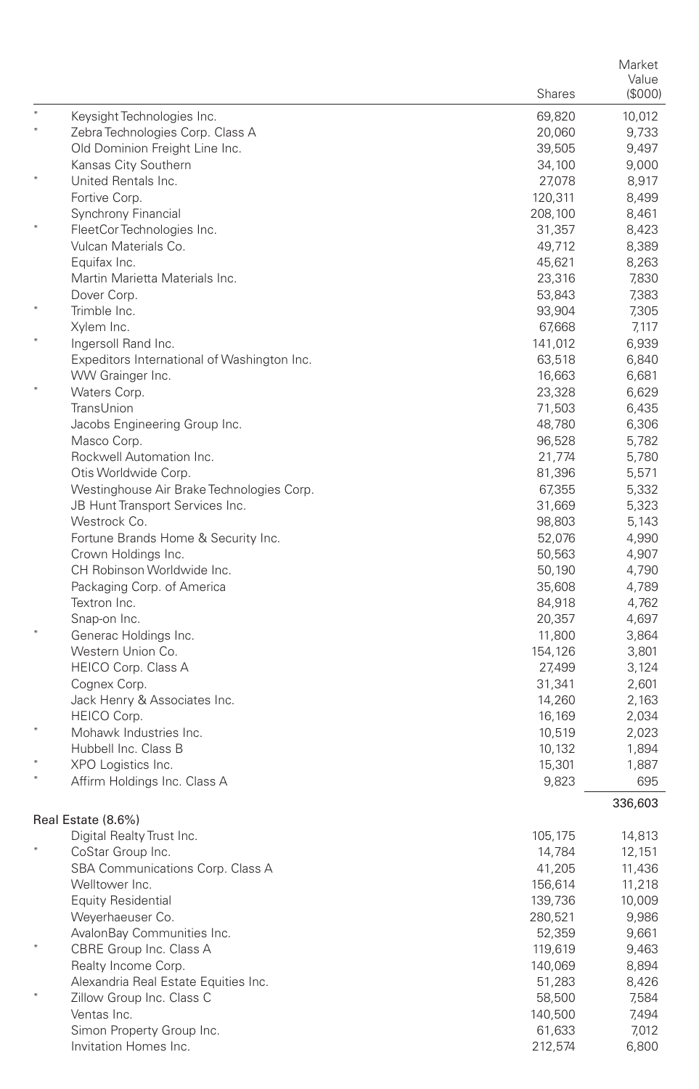|        |                                                       |                   | Market         |
|--------|-------------------------------------------------------|-------------------|----------------|
|        |                                                       | <b>Shares</b>     | Value          |
|        |                                                       |                   | $($ \$000 $)$  |
|        | Keysight Technologies Inc.                            | 69,820            | 10,012         |
|        | Zebra Technologies Corp. Class A                      | 20,060            | 9,733          |
|        | Old Dominion Freight Line Inc.                        | 39,505            | 9,497          |
|        | Kansas City Southern                                  | 34,100            | 9,000          |
|        | United Rentals Inc.                                   | 27,078            | 8,917          |
|        | Fortive Corp.                                         | 120,311           | 8,499          |
|        | Synchrony Financial                                   | 208,100           | 8,461          |
|        | FleetCor Technologies Inc.<br>Vulcan Materials Co.    | 31,357            | 8,423          |
|        | Equifax Inc.                                          | 49,712<br>45,621  | 8,389<br>8,263 |
|        | Martin Marietta Materials Inc.                        | 23,316            | 7,830          |
|        | Dover Corp.                                           | 53,843            | 7,383          |
|        | Trimble Inc.                                          | 93,904            | 7,305          |
|        | Xylem Inc.                                            | 67,668            | 7,117          |
|        | Ingersoll Rand Inc.                                   | 141,012           | 6,939          |
|        | Expeditors International of Washington Inc.           | 63,518            | 6,840          |
|        | WW Grainger Inc.                                      | 16,663            | 6,681          |
|        | Waters Corp.                                          | 23,328            | 6,629          |
|        | TransUnion                                            | 71,503            | 6,435          |
|        | Jacobs Engineering Group Inc.                         | 48,780            | 6,306          |
|        | Masco Corp.                                           | 96,528            | 5,782          |
|        | Rockwell Automation Inc.                              | 21,774            | 5,780          |
|        | Otis Worldwide Corp.                                  | 81,396            | 5,571          |
|        | Westinghouse Air Brake Technologies Corp.             | 67,355            | 5,332          |
|        | JB Hunt Transport Services Inc.                       | 31,669            | 5,323          |
|        | Westrock Co.                                          | 98,803            | 5,143          |
|        | Fortune Brands Home & Security Inc.                   | 52,076            | 4,990          |
|        | Crown Holdings Inc.                                   | 50,563            | 4,907          |
|        | CH Robinson Worldwide Inc.                            | 50,190            | 4,790          |
|        | Packaging Corp. of America                            | 35,608            | 4,789          |
|        | Textron Inc.                                          | 84,918            | 4,762          |
|        | Snap-on Inc.                                          | 20,357            | 4,697          |
|        | Generac Holdings Inc.                                 | 11,800            | 3,864          |
|        | Western Union Co.                                     | 154,126           | 3,801          |
|        | <b>HEICO Corp. Class A</b>                            | 27,499            | 3,124          |
|        | Cognex Corp.                                          | 31,341            | 2,601          |
|        | Jack Henry & Associates Inc.                          | 14,260            | 2,163          |
|        | HEICO Corp.                                           | 16,169            | 2,034          |
|        | Mohawk Industries Inc.                                | 10,519            | 2,023          |
|        | Hubbell Inc. Class B                                  | 10,132            | 1,894          |
|        | XPO Logistics Inc.<br>Affirm Holdings Inc. Class A    | 15,301            | 1,887          |
|        |                                                       | 9,823             | 695            |
|        |                                                       |                   | 336,603        |
|        | Real Estate (8.6%)                                    |                   |                |
|        | Digital Realty Trust Inc.                             | 105,175           | 14,813         |
|        | CoStar Group Inc.                                     | 14,784            | 12,151         |
|        | SBA Communications Corp. Class A                      | 41,205            | 11,436         |
|        | Welltower Inc.                                        | 156,614           | 11,218         |
|        | <b>Equity Residential</b><br>Weyerhaeuser Co.         | 139,736           | 10,009         |
|        |                                                       | 280,521<br>52,359 | 9,986          |
| $\ast$ | AvalonBay Communities Inc.<br>CBRE Group Inc. Class A | 119,619           | 9,661<br>9,463 |
|        | Realty Income Corp.                                   |                   | 8,894          |
|        | Alexandria Real Estate Equities Inc.                  | 140,069<br>51,283 | 8,426          |
|        | Zillow Group Inc. Class C                             | 58,500            | 7,584          |
|        | Ventas Inc.                                           | 140,500           | 7,494          |
|        | Simon Property Group Inc.                             | 61,633            | 7,012          |
|        | Invitation Homes Inc.                                 | 212,574           | 6,800          |
|        |                                                       |                   |                |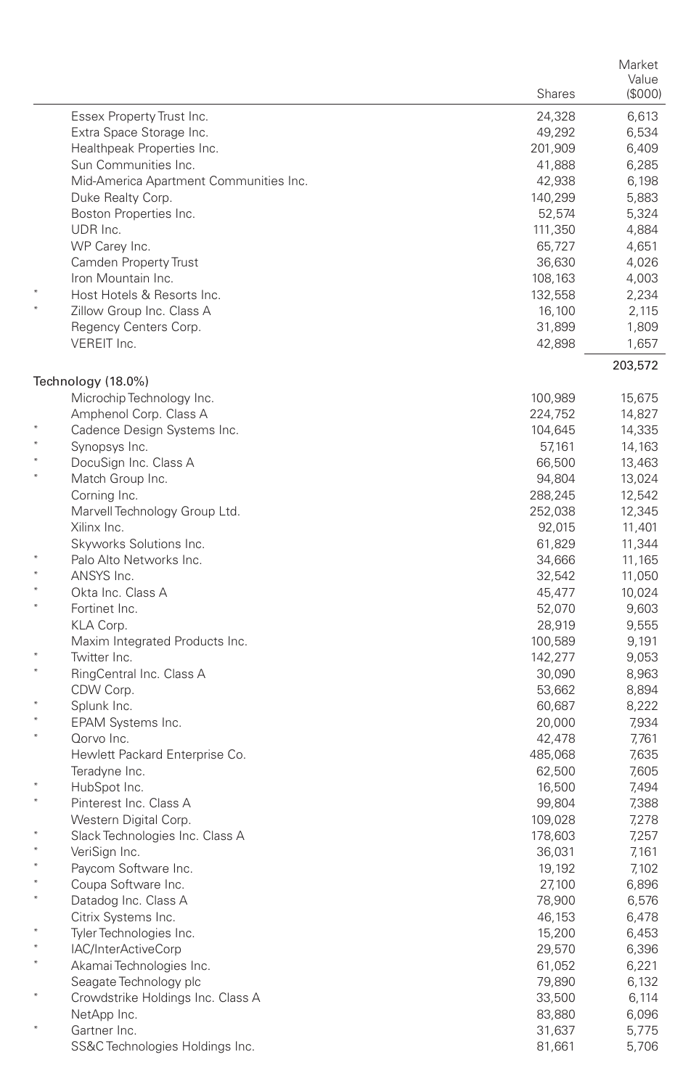|         |                                        |                   | Market           |
|---------|----------------------------------------|-------------------|------------------|
|         |                                        | <b>Shares</b>     | Value<br>(\$000) |
|         |                                        |                   |                  |
|         | Essex Property Trust Inc.              | 24,328            | 6,613            |
|         | Extra Space Storage Inc.               | 49,292            | 6,534            |
|         | Healthpeak Properties Inc.             | 201,909           | 6,409            |
|         | Sun Communities Inc.                   | 41,888            | 6,285            |
|         | Mid-America Apartment Communities Inc. | 42,938            | 6,198            |
|         | Duke Realty Corp.                      | 140,299           | 5,883            |
|         | Boston Properties Inc.<br>UDR Inc.     | 52,574            | 5,324<br>4,884   |
|         | WP Carey Inc.                          | 111,350           |                  |
|         | Camden Property Trust                  | 65,727            | 4,651<br>4,026   |
|         | Iron Mountain Inc.                     | 36,630            |                  |
|         | Host Hotels & Resorts Inc.             | 108,163           | 4,003            |
|         | Zillow Group Inc. Class A              | 132,558           | 2,234            |
|         | Regency Centers Corp.                  | 16,100            | 2,115            |
|         | VEREIT Inc.                            | 31,899<br>42,898  | 1,809<br>1,657   |
|         |                                        |                   | 203,572          |
|         | Technology (18.0%)                     |                   |                  |
|         | Microchip Technology Inc.              | 100,989           | 15,675           |
|         | Amphenol Corp. Class A                 | 224,752           | 14,827           |
|         | Cadence Design Systems Inc.            | 104,645           | 14,335           |
|         | Synopsys Inc.                          | 57,161            | 14,163           |
|         | DocuSign Inc. Class A                  | 66,500            | 13,463           |
|         | Match Group Inc.                       | 94,804            | 13,024           |
|         | Corning Inc.                           | 288,245           | 12,542           |
|         | Marvell Technology Group Ltd.          | 252,038           | 12,345           |
|         | Xilinx Inc.                            | 92,015            | 11,401           |
|         | Skyworks Solutions Inc.                | 61,829            | 11,344           |
|         | Palo Alto Networks Inc.                | 34,666            | 11,165           |
|         | ANSYS Inc.                             | 32,542            | 11,050           |
|         | Okta Inc. Class A                      | 45,477            | 10,024           |
|         | Fortinet Inc.                          | 52,070            | 9,603            |
|         | KLA Corp.                              | 28,919            | 9,555            |
|         | Maxim Integrated Products Inc.         | 100,589           | 9,191            |
|         | Twitter Inc.                           | 142,277           | 9,053            |
|         | RingCentral Inc. Class A               | 30,090            | 8,963            |
|         | CDW Corp.                              | 53,662            | 8,894            |
|         | Splunk Inc.                            | 60,687            | 8,222            |
| $\star$ | EPAM Systems Inc.<br>Qorvo Inc.        | 20,000            | 7,934            |
|         | Hewlett Packard Enterprise Co.         | 42,478<br>485,068 | 7,761<br>7,635   |
|         | Teradyne Inc.                          | 62,500            | 7,605            |
|         | HubSpot Inc.                           | 16,500            | 7,494            |
|         | Pinterest Inc. Class A                 | 99,804            | 7,388            |
|         | Western Digital Corp.                  | 109,028           | 7,278            |
|         | Slack Technologies Inc. Class A        | 178,603           | 7,257            |
|         | VeriSign Inc.                          | 36,031            | 7,161            |
|         | Paycom Software Inc.                   | 19,192            | 7,102            |
|         | Coupa Software Inc.                    | 27,100            | 6,896            |
|         | Datadog Inc. Class A                   | 78,900            | 6,576            |
|         | Citrix Systems Inc.                    | 46,153            | 6,478            |
|         | Tyler Technologies Inc.                | 15,200            | 6,453            |
|         | IAC/InterActiveCorp                    | 29,570            | 6,396            |
| $\ast$  | Akamai Technologies Inc.               | 61,052            | 6,221            |
|         | Seagate Technology plc                 | 79,890            | 6,132            |
| ×       | Crowdstrike Holdings Inc. Class A      | 33,500            | 6,114            |
|         | NetApp Inc.                            | 83,880            | 6,096            |
|         | Gartner Inc.                           | 31,637            | 5,775            |
|         | SS&C Technologies Holdings Inc.        | 81,661            | 5,706            |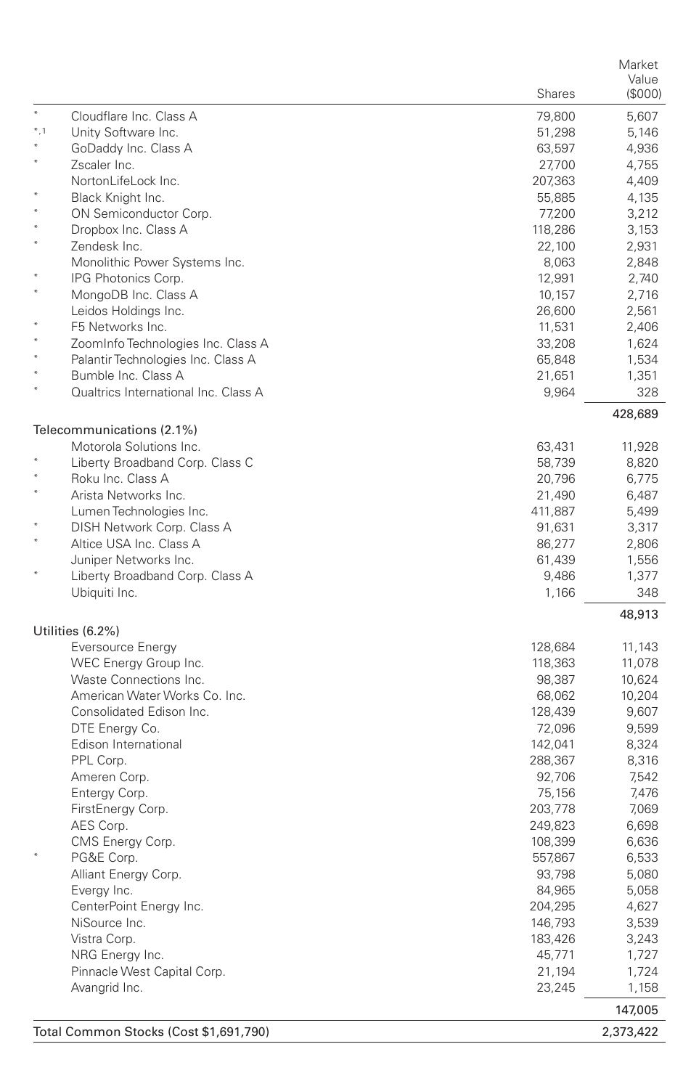|        |                                        |         | Market    |
|--------|----------------------------------------|---------|-----------|
|        |                                        |         | Value     |
|        |                                        | Shares  | (\$000)   |
| $*$    | Cloudflare Inc. Class A                | 79,800  | 5,607     |
| $*, 1$ | Unity Software Inc.                    | 51,298  | 5,146     |
|        | GoDaddy Inc. Class A                   | 63,597  | 4,936     |
|        | Zscaler Inc.                           | 27,700  | 4,755     |
|        | NortonLifeLock Inc.                    | 207,363 | 4,409     |
|        | Black Knight Inc.                      | 55,885  | 4,135     |
|        | ON Semiconductor Corp.                 | 77,200  | 3,212     |
|        | Dropbox Inc. Class A                   | 118,286 | 3,153     |
|        | Zendesk Inc.                           | 22,100  | 2,931     |
|        | Monolithic Power Systems Inc.          | 8,063   | 2,848     |
|        | IPG Photonics Corp.                    | 12,991  | 2,740     |
|        | MongoDB Inc. Class A                   | 10,157  | 2,716     |
|        | Leidos Holdings Inc.                   | 26,600  | 2,561     |
|        | F5 Networks Inc.                       | 11,531  | 2,406     |
|        | ZoomInfo Technologies Inc. Class A     | 33,208  | 1,624     |
|        | Palantir Technologies Inc. Class A     | 65,848  | 1,534     |
|        | Bumble Inc. Class A                    | 21,651  | 1,351     |
|        | Qualtrics International Inc. Class A   | 9,964   | 328       |
|        |                                        |         | 428,689   |
|        | Telecommunications (2.1%)              |         |           |
|        | Motorola Solutions Inc.                | 63,431  | 11,928    |
|        | Liberty Broadband Corp. Class C        | 58,739  | 8,820     |
|        | Roku Inc. Class A                      | 20,796  | 6,775     |
|        | Arista Networks Inc.                   | 21,490  | 6,487     |
|        | Lumen Technologies Inc.                | 411,887 | 5,499     |
|        | DISH Network Corp. Class A             | 91,631  | 3,317     |
|        | Altice USA Inc. Class A                | 86,277  | 2,806     |
|        | Juniper Networks Inc.                  | 61,439  | 1,556     |
|        | Liberty Broadband Corp. Class A        | 9,486   | 1,377     |
|        | Ubiquiti Inc.                          | 1,166   | 348       |
|        |                                        |         | 48,913    |
|        | Utilities (6.2%)                       |         |           |
|        | Eversource Energy                      | 128,684 | 11,143    |
|        | WEC Energy Group Inc.                  | 118,363 | 11,078    |
|        | Waste Connections Inc.                 | 98,387  | 10,624    |
|        | American Water Works Co. Inc.          | 68,062  | 10,204    |
|        | Consolidated Edison Inc.               | 128,439 | 9,607     |
|        | DTE Energy Co.                         | 72,096  | 9,599     |
|        | Edison International                   | 142,041 | 8,324     |
|        | PPL Corp.                              | 288,367 | 8,316     |
|        | Ameren Corp.                           | 92,706  | 7,542     |
|        | Entergy Corp.                          | 75,156  | 7,476     |
|        | FirstEnergy Corp.                      | 203,778 | 7,069     |
|        | AES Corp.                              | 249,823 | 6,698     |
|        | CMS Energy Corp.                       | 108,399 | 6,636     |
|        | PG&E Corp.                             | 557,867 | 6,533     |
|        | Alliant Energy Corp.                   | 93,798  | 5,080     |
|        | Evergy Inc.                            | 84,965  | 5,058     |
|        | CenterPoint Energy Inc.                | 204,295 | 4,627     |
|        | NiSource Inc.                          | 146,793 | 3,539     |
|        | Vistra Corp.                           | 183,426 | 3,243     |
|        | NRG Energy Inc.                        | 45,771  | 1,727     |
|        | Pinnacle West Capital Corp.            | 21,194  | 1,724     |
|        | Avangrid Inc.                          | 23,245  | 1,158     |
|        |                                        |         | 147,005   |
|        | Total Common Stocks (Cost \$1,691,790) |         | 2,373,422 |
|        |                                        |         |           |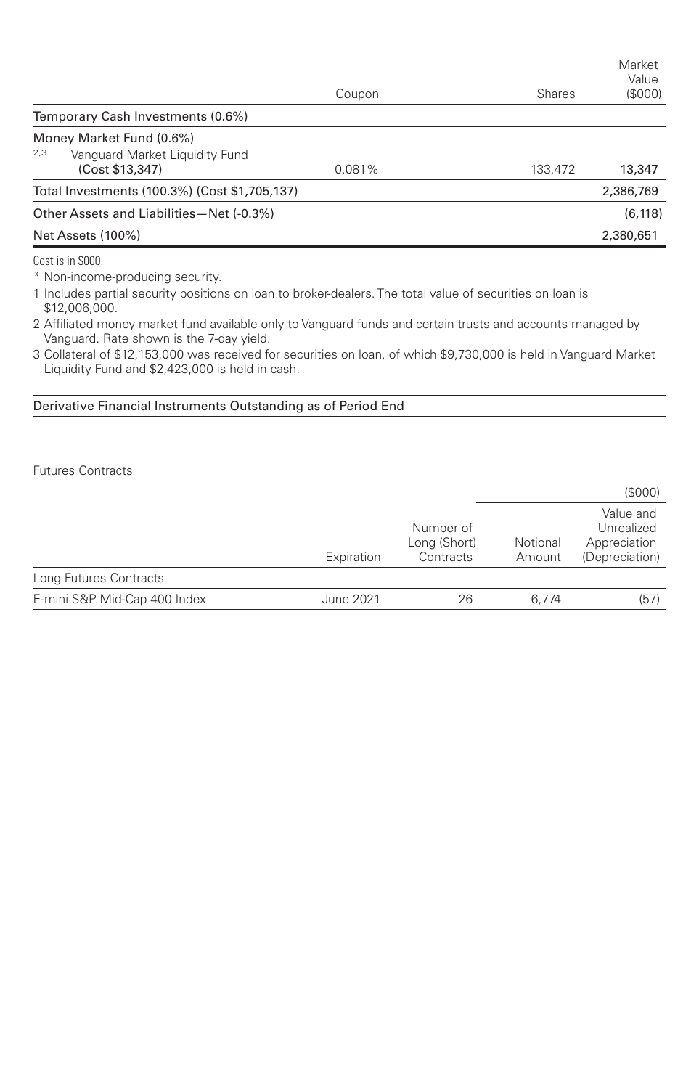|                                                          | Coupon | <b>Shares</b> | Market<br>Value<br>(S000) |
|----------------------------------------------------------|--------|---------------|---------------------------|
| Temporary Cash Investments (0.6%)                        |        |               |                           |
| Money Market Fund (0.6%)                                 |        |               |                           |
| 2,3<br>Vanguard Market Liquidity Fund<br>(Cost \$13,347) | 0.081% | 133,472       | 13,347                    |
| Total Investments (100.3%) (Cost \$1,705,137)            |        |               | 2,386,769                 |
| Other Assets and Liabilities-Net (-0.3%)                 |        |               | (6, 118)                  |
| Net Assets (100%)                                        |        |               | 2,380,651                 |
| .                                                        |        |               |                           |

Cost is in \$000.

\* Non-income-producing security.

1 Includes partial security positions on loan to broker-dealers. The total value of securities on loan is \$12,006,000.

2 Affiliated money market fund available only to Vanguard funds and certain trusts and accounts managed by Vanguard. Rate shown is the 7-day yield.

3 Collateral of \$12,153,000 was received for securities on loan, of which \$9,730,000 is held in Vanguard Market Liquidity Fund and \$2,423,000 is held in cash.

Derivative Financial Instruments Outstanding as of Period End

Futures Contracts

|                              |            |                                        |                    | (\$000)                                                   |
|------------------------------|------------|----------------------------------------|--------------------|-----------------------------------------------------------|
|                              | Expiration | Number of<br>Long (Short)<br>Contracts | Notional<br>Amount | Value and<br>Unrealized<br>Appreciation<br>(Depreciation) |
| Long Futures Contracts       |            |                                        |                    |                                                           |
| E-mini S&P Mid-Cap 400 Index | June 2021  | 26                                     | 6.774              | (57)                                                      |